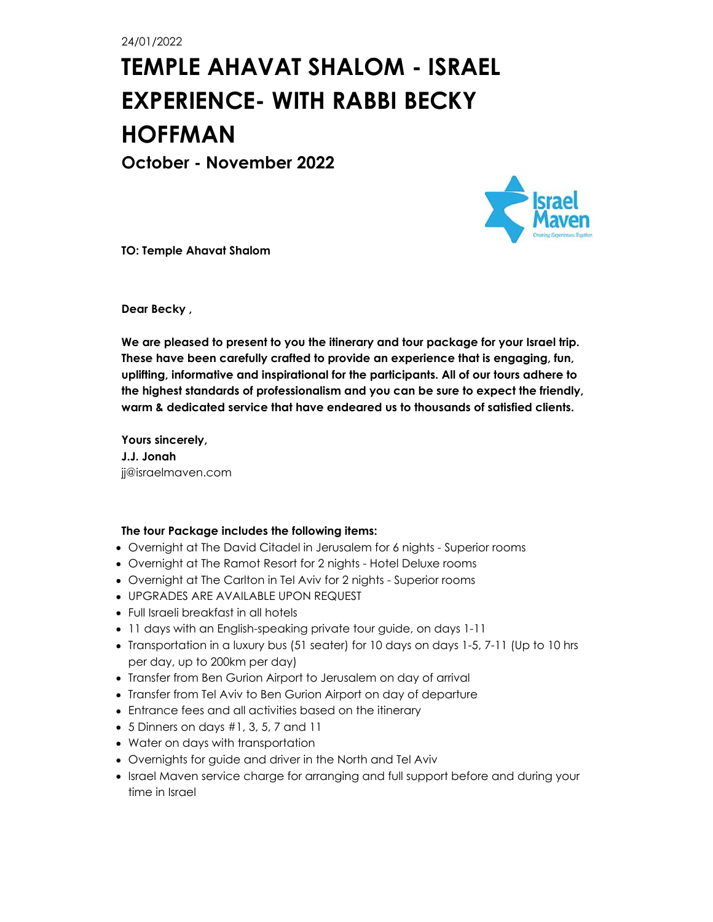24/01/2022

# **TEMPLE AHAVAT SHALOM - ISRAEL EXPERIENCE- WITH RABBI BECKY HOFFMAN**

**October - November 2022**



**TO: Temple Ahavat Shalom**

**Dear Becky ,**

**We are pleased to present to you the itinerary and tour package for your Israel trip. These have been carefully crafted to provide an experience that is engaging, fun, uplifting, informative and inspirational for the participants. All of our tours adhere to the highest standards of professionalism and you can be sure to expect the friendly, warm & dedicated service that have endeared us to thousands of satisfied clients.**

**Yours sincerely, J.J. Jonah** jj@israelmaven.com

#### **The tour Package includes the following items:**

- Overnight at The David Citadel in Jerusalem for 6 nights Superior rooms
- Overnight at The Ramot Resort for 2 nights Hotel Deluxe rooms
- Overnight at The Carlton in Tel Aviv for 2 nights Superior rooms
- UPGRADES ARE AVAILABLE UPON REQUEST
- Full Israeli breakfast in all hotels
- 11 days with an English-speaking private tour guide, on days 1-11
- Transportation in a luxury bus (51 seater) for 10 days on days 1-5, 7-11 (Up to 10 hrs per day, up to 200km per day)
- Transfer from Ben Gurion Airport to Jerusalem on day of arrival
- Transfer from Tel Aviv to Ben Gurion Airport on day of departure
- Entrance fees and all activities based on the itinerary
- 5 Dinners on days #1, 3, 5, 7 and 11
- Water on days with transportation
- Overnights for guide and driver in the North and Tel Aviv
- Israel Maven service charge for arranging and full support before and during your time in Israel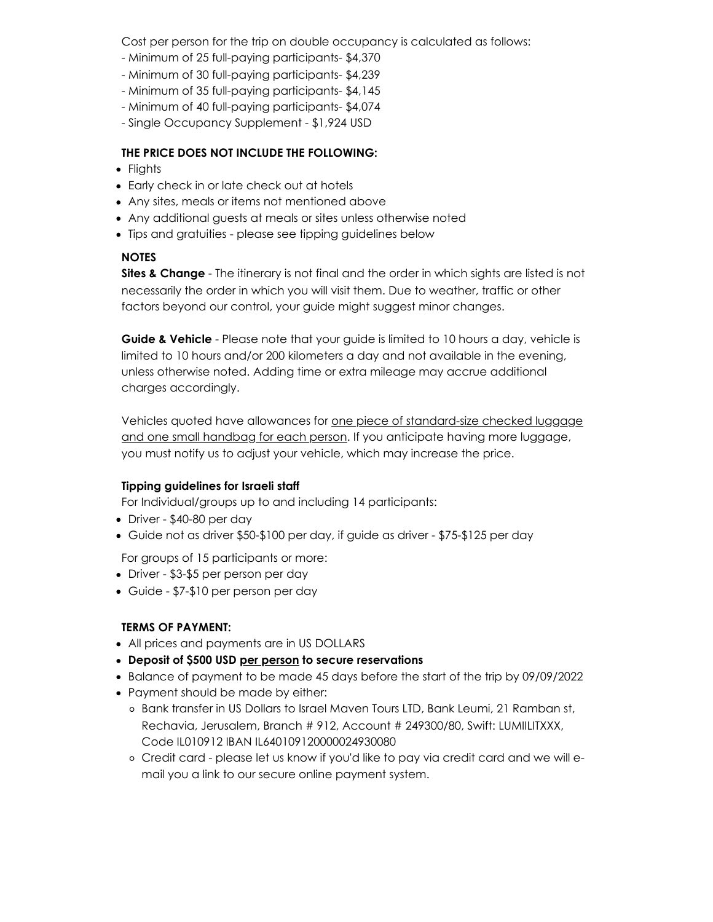Cost per person for the trip on double occupancy is calculated as follows:

- Minimum of 25 full-paying participants- \$4,370
- Minimum of 30 full-paying participants- \$4,239
- Minimum of 35 full-paying participants- \$4,145
- Minimum of 40 full-paying participants- \$4,074
- Single Occupancy Supplement \$1,924 USD

# **THE PRICE DOES NOT INCLUDE THE FOLLOWING:**

- Flights
- Early check in or late check out at hotels
- Any sites, meals or items not mentioned above
- Any additional guests at meals or sites unless otherwise noted
- Tips and gratuities please see tipping guidelines below

# **NOTES**

**Sites & Change** - The itinerary is not final and the order in which sights are listed is not necessarily the order in which you will visit them. Due to weather, traffic or other factors beyond our control, your guide might suggest minor changes.

**Guide & Vehicle** - Please note that your guide is limited to 10 hours a day, vehicle is limited to 10 hours and/or 200 kilometers a day and not available in the evening, unless otherwise noted. Adding time or extra mileage may accrue additional charges accordingly.

Vehicles quoted have allowances for one piece of standard-size checked luggage and one small handbag for each person. If you anticipate having more luggage, you must notify us to adjust your vehicle, which may increase the price.

# **Tipping guidelines for Israeli staff**

For Individual/groups up to and including 14 participants:

- Driver \$40-80 per day
- Guide not as driver \$50-\$100 per day, if guide as driver \$75-\$125 per day

For groups of 15 participants or more:

- Driver \$3-\$5 per person per day
- Guide \$7-\$10 per person per day

# **TERMS OF PAYMENT:**

- All prices and payments are in US DOLLARS
- **Deposit of \$500 USD per person to secure reservations**
- Balance of payment to be made 45 days before the start of the trip by 09/09/2022
- Payment should be made by either:
	- o Bank transfer in US Dollars to Israel Maven Tours LTD, Bank Leumi, 21 Ramban st, Rechavia, Jerusalem, Branch # 912, Account # 249300/80, Swift: LUMIILITXXX, Code IL010912 IBAN IL640109120000024930080
	- Credit card please let us know if you'd like to pay via credit card and we will email you a link to our secure online payment system.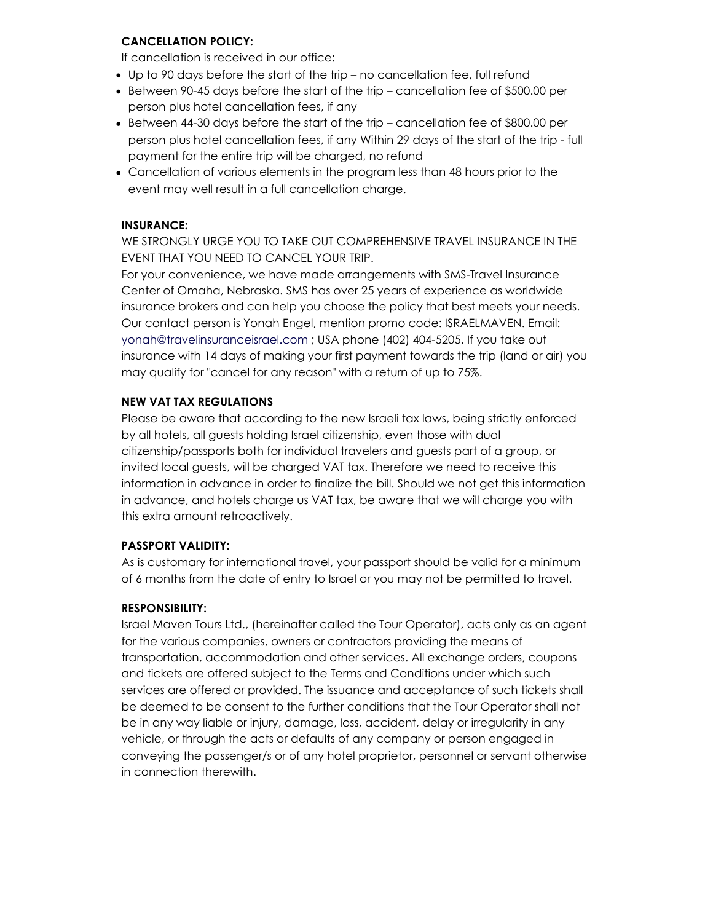### **CANCELLATION POLICY:**

If cancellation is received in our office:

- Up to 90 days before the start of the trip no cancellation fee, full refund
- Between 90-45 days before the start of the trip cancellation fee of \$500.00 per person plus hotel cancellation fees, if any
- Between 44-30 days before the start of the trip cancellation fee of \$800.00 per person plus hotel cancellation fees, if any Within 29 days of the start of the trip - full payment for the entire trip will be charged, no refund
- Cancellation of various elements in the program less than 48 hours prior to the event may well result in a full cancellation charge.

#### **INSURANCE:**

WE STRONGLY URGE YOU TO TAKE OUT COMPREHENSIVE TRAVEL INSURANCE IN THE EVENT THAT YOU NEED TO CANCEL YOUR TRIP.

For your convenience, we have made arrangements with SMS-Travel Insurance Center of Omaha, Nebraska. SMS has over 25 years of experience as worldwide insurance brokers and can help you choose the policy that best meets your needs. Our contact person is Yonah Engel, mention promo code: ISRAELMAVEN. Email: yonah@travelinsuranceisrael.com ; USA phone (402) 404-5205. If you take out insurance with 14 days of making your first payment towards the trip (land or air) you may qualify for "cancel for any reason" with a return of up to 75%.

#### **NEW VAT TAX REGULATIONS**

Please be aware that according to the new Israeli tax laws, being strictly enforced by all hotels, all guests holding Israel citizenship, even those with dual citizenship/passports both for individual travelers and guests part of a group, or invited local guests, will be charged VAT tax. Therefore we need to receive this information in advance in order to finalize the bill. Should we not get this information in advance, and hotels charge us VAT tax, be aware that we will charge you with this extra amount retroactively.

#### **PASSPORT VALIDITY:**

As is customary for international travel, your passport should be valid for a minimum of 6 months from the date of entry to Israel or you may not be permitted to travel.

#### **RESPONSIBILITY:**

Israel Maven Tours Ltd., (hereinafter called the Tour Operator), acts only as an agent for the various companies, owners or contractors providing the means of transportation, accommodation and other services. All exchange orders, coupons and tickets are offered subject to the Terms and Conditions under which such services are offered or provided. The issuance and acceptance of such tickets shall be deemed to be consent to the further conditions that the Tour Operator shall not be in any way liable or injury, damage, loss, accident, delay or irregularity in any vehicle, or through the acts or defaults of any company or person engaged in conveying the passenger/s or of any hotel proprietor, personnel or servant otherwise in connection therewith.